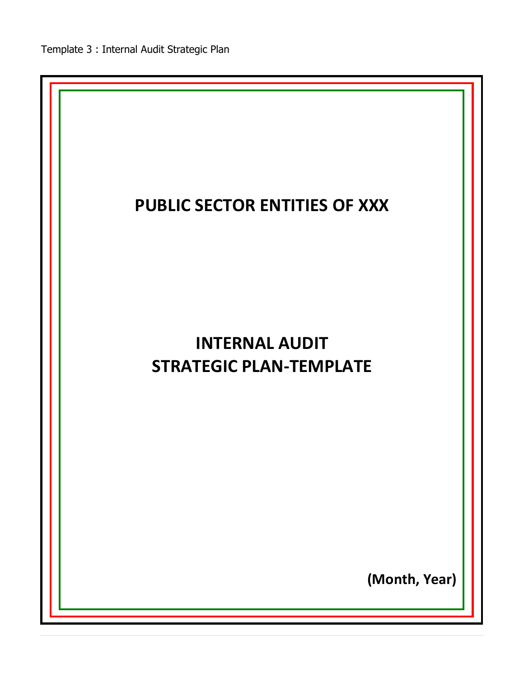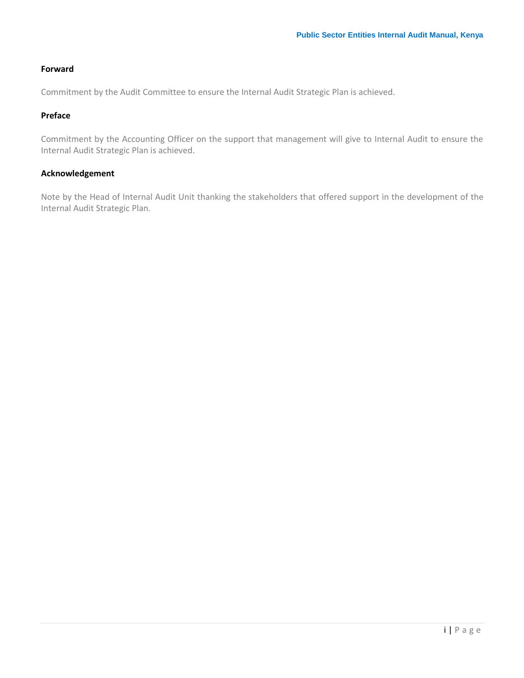# <span id="page-1-0"></span>**Forward**

Commitment by the Audit Committee to ensure the Internal Audit Strategic Plan is achieved.

# <span id="page-1-1"></span>**Preface**

Commitment by the Accounting Officer on the support that management will give to Internal Audit to ensure the Internal Audit Strategic Plan is achieved.

## <span id="page-1-2"></span>**Acknowledgement**

Note by the Head of Internal Audit Unit thanking the stakeholders that offered support in the development of the Internal Audit Strategic Plan.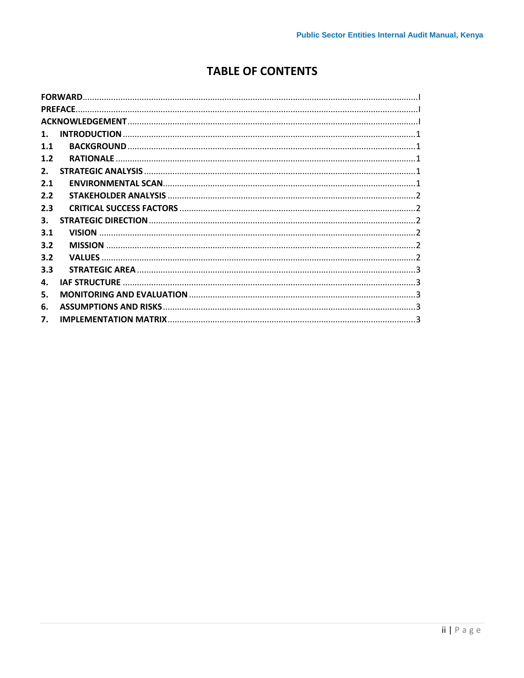# **TABLE OF CONTENTS**

|                | <b>FORWARD.</b>              |  |
|----------------|------------------------------|--|
|                | <b>PREFACE</b>               |  |
|                |                              |  |
| $\mathbf{1}$ . |                              |  |
| 1.1            |                              |  |
| 1.2            | <b>RATIONALE</b>             |  |
| $2_{\cdot}$    |                              |  |
| 2.1            |                              |  |
| 2.2            |                              |  |
| 2.3            |                              |  |
| 3.             |                              |  |
| 3.1            | <b>VISION</b>                |  |
| 3.2            |                              |  |
| 3.2            | <b>VALUES</b>                |  |
| 3.3            |                              |  |
| 4.             | <b>IAF STRUCTURE</b>         |  |
| 5.             |                              |  |
| 6.             | <b>ASSUMPTIONS AND RISKS</b> |  |
| 7.             |                              |  |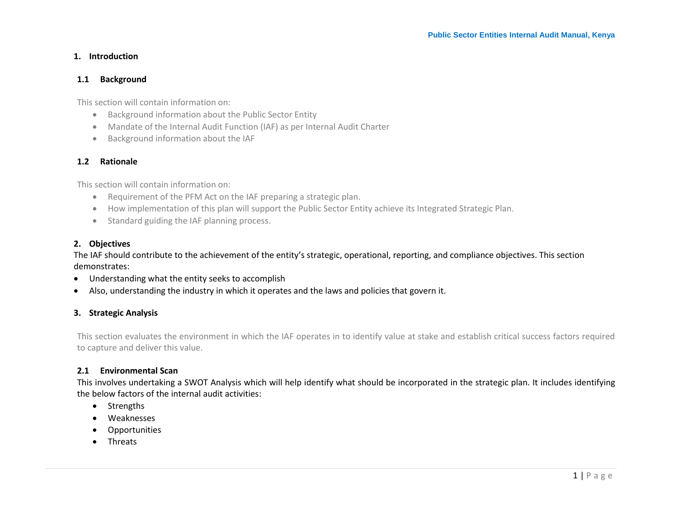#### **1. Introduction**

#### **1.1 Background**

This section will contain information on:

- Background information about the Public Sector Entity
- Mandate of the Internal Audit Function (IAF) as per Internal Audit Charter
- Background information about the IAF

#### **1.2 Rationale**

<span id="page-3-0"></span>This section will contain information on:

- Requirement of the PFM Act on the IAF preparing a strategic plan.
- How implementation of this plan will support the Public Sector Entity achieve its Integrated Strategic Plan.
- Standard guiding the IAF planning process.

#### <span id="page-3-1"></span>**2. Objectives**

The IAF should contribute to the achievement of the entity's strategic, operational, reporting, and compliance objectives. This section demonstrates:

- Understanding what the entity seeks to accomplish
- Also, understanding the industry in which it operates and the laws and policies that govern it.

#### <span id="page-3-2"></span>**3. Strategic Analysis**

This section evaluates the environment in which the IAF operates in to identify value at stake and establish critical success factors required to capture and deliver this value.

#### **2.1 Environmental Scan**

<span id="page-3-3"></span>This involves undertaking a SWOT Analysis which will help identify what should be incorporated in the strategic plan. It includes identifying the below factors of the internal audit activities:

- Strengths
- Weaknesses
- **Opportunities**
- <span id="page-3-4"></span>**•** Threats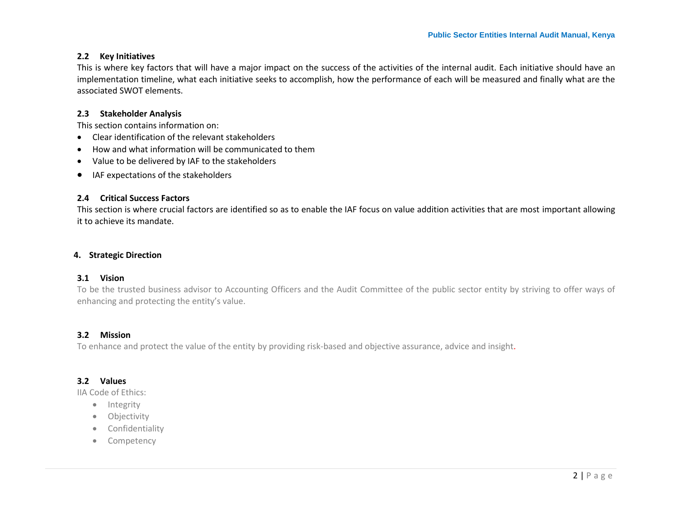#### **2.2 Key Initiatives**

This is where key factors that will have a major impact on the success of the activities of the internal audit. Each initiative should have an implementation timeline, what each initiative seeks to accomplish, how the performance of each will be measured and finally what are the associated SWOT elements.

#### **2.3 Stakeholder Analysis**

This section contains information on:

- Clear identification of the relevant stakeholders
- How and what information will be communicated to them
- Value to be delivered by IAF to the stakeholders
- IAF expectations of the stakeholders

#### **2.4 Critical Success Factors**

This section is where crucial factors are identified so as to enable the IAF focus on value addition activities that are most important allowing it to achieve its mandate.

#### <span id="page-4-0"></span>**4. Strategic Direction**

#### **3.1 Vision**

To be the trusted business advisor to Accounting Officers and the Audit Committee of the public sector entity by striving to offer ways of enhancing and protecting the entity's value.

#### **3.2 Mission**

<span id="page-4-1"></span>To enhance and protect the value of the entity by providing risk-based and objective assurance, advice and insight.

#### **3.2 Values**

<span id="page-4-2"></span>IIA Code of Ethics:

- Integrity
- Objectivity
- **•** Confidentiality
- <span id="page-4-5"></span><span id="page-4-4"></span><span id="page-4-3"></span>• Competency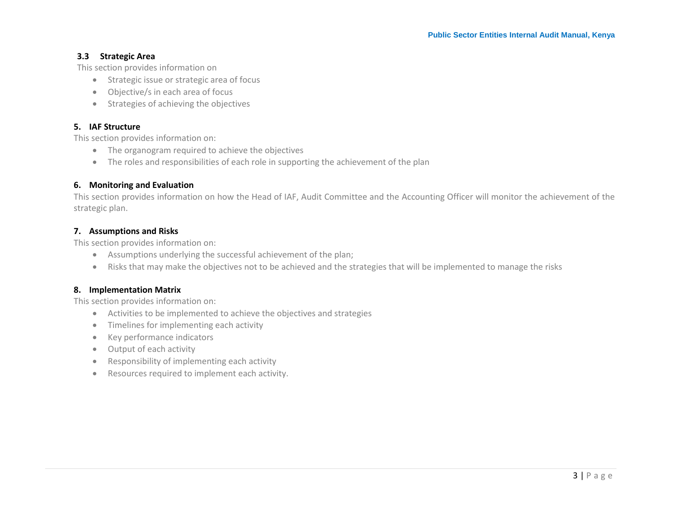# **3.3 Strategic Area**

This section provides information on

- **•** Strategic issue or strategic area of focus
- Objective/s in each area of focus
- **•** Strategies of achieving the objectives

#### **5. IAF Structure**

This section provides information on:

- The organogram required to achieve the objectives
- The roles and responsibilities of each role in supporting the achievement of the plan

# **6. Monitoring and Evaluation**

<span id="page-5-0"></span>This section provides information on how the Head of IAF, Audit Committee and the Accounting Officer will monitor the achievement of the strategic plan.

# **7. Assumptions and Risks**

This section provides information on:

- Assumptions underlying the successful achievement of the plan;
- Risks that may make the objectives not to be achieved and the strategies that will be implemented to manage the risks

# <span id="page-5-1"></span>**8. Implementation Matrix**

<span id="page-5-2"></span>This section provides information on:

- Activities to be implemented to achieve the objectives and strategies
- Timelines for implementing each activity
- Key performance indicators
- Output of each activity
- Responsibility of implementing each activity
- <span id="page-5-4"></span><span id="page-5-3"></span>Resources required to implement each activity.